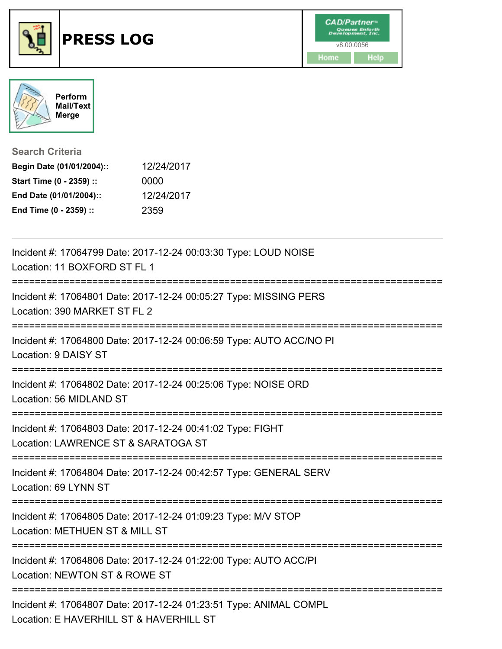



**Search Criteria**

| Begin Date (01/01/2004):: | 12/24/2017 |
|---------------------------|------------|
| Start Time (0 - 2359) ::  | 0000       |
| End Date (01/01/2004)::   | 12/24/2017 |
| End Time (0 - 2359) ::    | 2359       |

| Incident #: 17064799 Date: 2017-12-24 00:03:30 Type: LOUD NOISE<br>Location: 11 BOXFORD ST FL 1                                    |
|------------------------------------------------------------------------------------------------------------------------------------|
| Incident #: 17064801 Date: 2017-12-24 00:05:27 Type: MISSING PERS<br>Location: 390 MARKET ST FL 2<br>============================= |
| Incident #: 17064800 Date: 2017-12-24 00:06:59 Type: AUTO ACC/NO PI<br>Location: 9 DAISY ST                                        |
| Incident #: 17064802 Date: 2017-12-24 00:25:06 Type: NOISE ORD<br>Location: 56 MIDLAND ST                                          |
| Incident #: 17064803 Date: 2017-12-24 00:41:02 Type: FIGHT<br>Location: LAWRENCE ST & SARATOGA ST                                  |
| Incident #: 17064804 Date: 2017-12-24 00:42:57 Type: GENERAL SERV<br>Location: 69 LYNN ST                                          |
| Incident #: 17064805 Date: 2017-12-24 01:09:23 Type: M/V STOP<br>Location: METHUEN ST & MILL ST<br>.-----------------------        |
| Incident #: 17064806 Date: 2017-12-24 01:22:00 Type: AUTO ACC/PI<br>Location: NEWTON ST & ROWE ST<br>-----------                   |
| Incident #: 17064807 Date: 2017-12-24 01:23:51 Type: ANIMAL COMPL<br>Location: E HAVERHILL ST & HAVERHILL ST                       |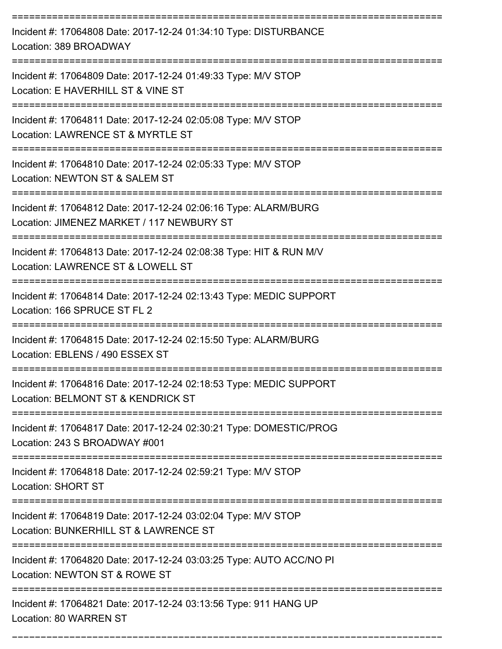| Incident #: 17064808 Date: 2017-12-24 01:34:10 Type: DISTURBANCE<br>Location: 389 BROADWAY                   |
|--------------------------------------------------------------------------------------------------------------|
| Incident #: 17064809 Date: 2017-12-24 01:49:33 Type: M/V STOP<br>Location: E HAVERHILL ST & VINE ST          |
| Incident #: 17064811 Date: 2017-12-24 02:05:08 Type: M/V STOP<br>Location: LAWRENCE ST & MYRTLE ST           |
| Incident #: 17064810 Date: 2017-12-24 02:05:33 Type: M/V STOP<br>Location: NEWTON ST & SALEM ST              |
| Incident #: 17064812 Date: 2017-12-24 02:06:16 Type: ALARM/BURG<br>Location: JIMENEZ MARKET / 117 NEWBURY ST |
| Incident #: 17064813 Date: 2017-12-24 02:08:38 Type: HIT & RUN M/V<br>Location: LAWRENCE ST & LOWELL ST      |
| Incident #: 17064814 Date: 2017-12-24 02:13:43 Type: MEDIC SUPPORT<br>Location: 166 SPRUCE ST FL 2           |
| Incident #: 17064815 Date: 2017-12-24 02:15:50 Type: ALARM/BURG<br>Location: EBLENS / 490 ESSEX ST           |
| Incident #: 17064816 Date: 2017-12-24 02:18:53 Type: MEDIC SUPPORT<br>Location: BELMONT ST & KENDRICK ST     |
| Incident #: 17064817 Date: 2017-12-24 02:30:21 Type: DOMESTIC/PROG<br>Location: 243 S BROADWAY #001          |
| Incident #: 17064818 Date: 2017-12-24 02:59:21 Type: M/V STOP<br><b>Location: SHORT ST</b>                   |
| Incident #: 17064819 Date: 2017-12-24 03:02:04 Type: M/V STOP<br>Location: BUNKERHILL ST & LAWRENCE ST       |
| Incident #: 17064820 Date: 2017-12-24 03:03:25 Type: AUTO ACC/NO PI<br>Location: NEWTON ST & ROWE ST         |
| Incident #: 17064821 Date: 2017-12-24 03:13:56 Type: 911 HANG UP<br>Location: 80 WARREN ST                   |

===========================================================================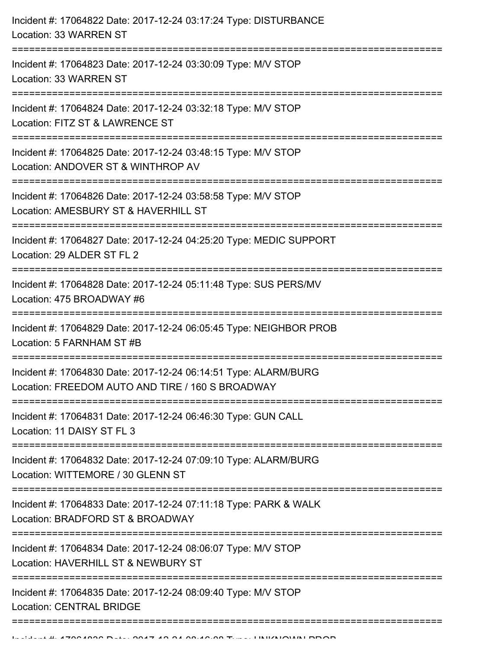| Incident #: 17064822 Date: 2017-12-24 03:17:24 Type: DISTURBANCE<br>Location: 33 WARREN ST                                  |
|-----------------------------------------------------------------------------------------------------------------------------|
| Incident #: 17064823 Date: 2017-12-24 03:30:09 Type: M/V STOP<br>Location: 33 WARREN ST<br>================================ |
| Incident #: 17064824 Date: 2017-12-24 03:32:18 Type: M/V STOP<br>Location: FITZ ST & LAWRENCE ST                            |
| Incident #: 17064825 Date: 2017-12-24 03:48:15 Type: M/V STOP<br>Location: ANDOVER ST & WINTHROP AV<br>==================   |
| Incident #: 17064826 Date: 2017-12-24 03:58:58 Type: M/V STOP<br>Location: AMESBURY ST & HAVERHILL ST                       |
| Incident #: 17064827 Date: 2017-12-24 04:25:20 Type: MEDIC SUPPORT<br>Location: 29 ALDER ST FL 2                            |
| Incident #: 17064828 Date: 2017-12-24 05:11:48 Type: SUS PERS/MV<br>Location: 475 BROADWAY #6                               |
| Incident #: 17064829 Date: 2017-12-24 06:05:45 Type: NEIGHBOR PROB<br>Location: 5 FARNHAM ST #B                             |
| Incident #: 17064830 Date: 2017-12-24 06:14:51 Type: ALARM/BURG<br>Location: FREEDOM AUTO AND TIRE / 160 S BROADWAY         |
| Incident #: 17064831 Date: 2017-12-24 06:46:30 Type: GUN CALL<br>Location: 11 DAISY ST FL 3                                 |
| Incident #: 17064832 Date: 2017-12-24 07:09:10 Type: ALARM/BURG<br>Location: WITTEMORE / 30 GLENN ST                        |
| Incident #: 17064833 Date: 2017-12-24 07:11:18 Type: PARK & WALK<br>Location: BRADFORD ST & BROADWAY                        |
| Incident #: 17064834 Date: 2017-12-24 08:06:07 Type: M/V STOP<br>Location: HAVERHILL ST & NEWBURY ST                        |
| Incident #: 17064835 Date: 2017-12-24 08:09:40 Type: M/V STOP<br><b>Location: CENTRAL BRIDGE</b>                            |
|                                                                                                                             |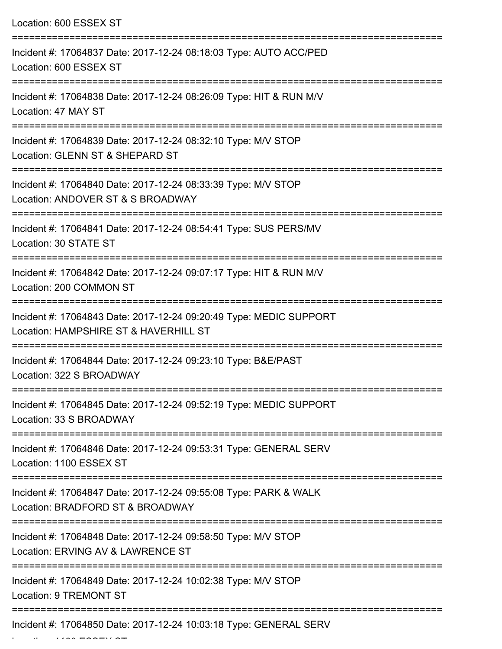| Location: 600 ESSEX ST                                                                                                                                    |
|-----------------------------------------------------------------------------------------------------------------------------------------------------------|
| Incident #: 17064837 Date: 2017-12-24 08:18:03 Type: AUTO ACC/PED<br>Location: 600 ESSEX ST                                                               |
| Incident #: 17064838 Date: 2017-12-24 08:26:09 Type: HIT & RUN M/V<br>Location: 47 MAY ST                                                                 |
| Incident #: 17064839 Date: 2017-12-24 08:32:10 Type: M/V STOP<br>Location: GLENN ST & SHEPARD ST                                                          |
| Incident #: 17064840 Date: 2017-12-24 08:33:39 Type: M/V STOP<br>Location: ANDOVER ST & S BROADWAY<br>==========================                          |
| Incident #: 17064841 Date: 2017-12-24 08:54:41 Type: SUS PERS/MV<br>Location: 30 STATE ST                                                                 |
| Incident #: 17064842 Date: 2017-12-24 09:07:17 Type: HIT & RUN M/V<br>Location: 200 COMMON ST                                                             |
| Incident #: 17064843 Date: 2017-12-24 09:20:49 Type: MEDIC SUPPORT<br>Location: HAMPSHIRE ST & HAVERHILL ST                                               |
| Incident #: 17064844 Date: 2017-12-24 09:23:10 Type: B&E/PAST<br>Location: 322 S BROADWAY                                                                 |
| ===================================<br>=================<br>Incident #: 17064845 Date: 2017-12-24 09:52:19 Type: MEDIC SUPPORT<br>Location: 33 S BROADWAY |
| Incident #: 17064846 Date: 2017-12-24 09:53:31 Type: GENERAL SERV<br>Location: 1100 ESSEX ST                                                              |
| Incident #: 17064847 Date: 2017-12-24 09:55:08 Type: PARK & WALK<br>Location: BRADFORD ST & BROADWAY                                                      |
| Incident #: 17064848 Date: 2017-12-24 09:58:50 Type: M/V STOP<br>Location: ERVING AV & LAWRENCE ST                                                        |
| Incident #: 17064849 Date: 2017-12-24 10:02:38 Type: M/V STOP<br><b>Location: 9 TREMONT ST</b>                                                            |
| Incident #: 17064850 Date: 2017-12-24 10:03:18 Type: GENERAL SERV                                                                                         |

Location: 1100 ESSEX ST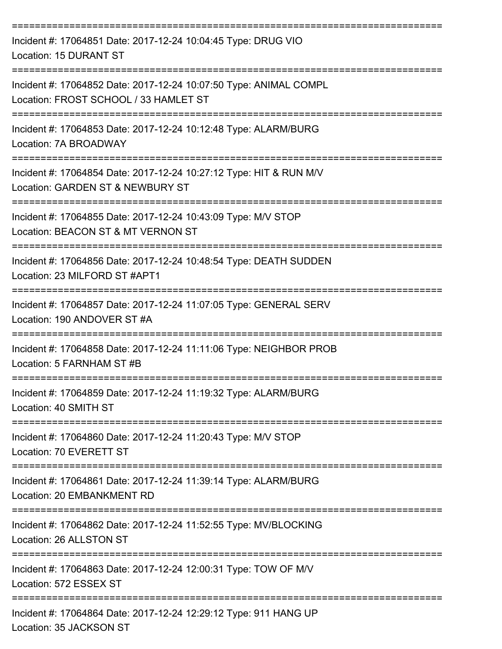| Incident #: 17064851 Date: 2017-12-24 10:04:45 Type: DRUG VIO<br>Location: 15 DURANT ST                                   |
|---------------------------------------------------------------------------------------------------------------------------|
| Incident #: 17064852 Date: 2017-12-24 10:07:50 Type: ANIMAL COMPL<br>Location: FROST SCHOOL / 33 HAMLET ST                |
| Incident #: 17064853 Date: 2017-12-24 10:12:48 Type: ALARM/BURG<br>Location: 7A BROADWAY                                  |
| Incident #: 17064854 Date: 2017-12-24 10:27:12 Type: HIT & RUN M/V<br>Location: GARDEN ST & NEWBURY ST                    |
| Incident #: 17064855 Date: 2017-12-24 10:43:09 Type: M/V STOP<br>Location: BEACON ST & MT VERNON ST                       |
| Incident #: 17064856 Date: 2017-12-24 10:48:54 Type: DEATH SUDDEN<br>Location: 23 MILFORD ST #APT1                        |
| Incident #: 17064857 Date: 2017-12-24 11:07:05 Type: GENERAL SERV<br>Location: 190 ANDOVER ST #A                          |
| Incident #: 17064858 Date: 2017-12-24 11:11:06 Type: NEIGHBOR PROB<br>Location: 5 FARNHAM ST #B                           |
| Incident #: 17064859 Date: 2017-12-24 11:19:32 Type: ALARM/BURG<br>Location: 40 SMITH ST                                  |
| =============================<br>Incident #: 17064860 Date: 2017-12-24 11:20:43 Type: M/V STOP<br>Location: 70 EVERETT ST |
| Incident #: 17064861 Date: 2017-12-24 11:39:14 Type: ALARM/BURG<br>Location: 20 EMBANKMENT RD                             |
| Incident #: 17064862 Date: 2017-12-24 11:52:55 Type: MV/BLOCKING<br>Location: 26 ALLSTON ST                               |
| Incident #: 17064863 Date: 2017-12-24 12:00:31 Type: TOW OF M/V<br>Location: 572 ESSEX ST                                 |
| -----------------------<br>Incident #: 17064864 Date: 2017-12-24 12:29:12 Type: 911 HANG UP<br>Location: 35 JACKSON ST    |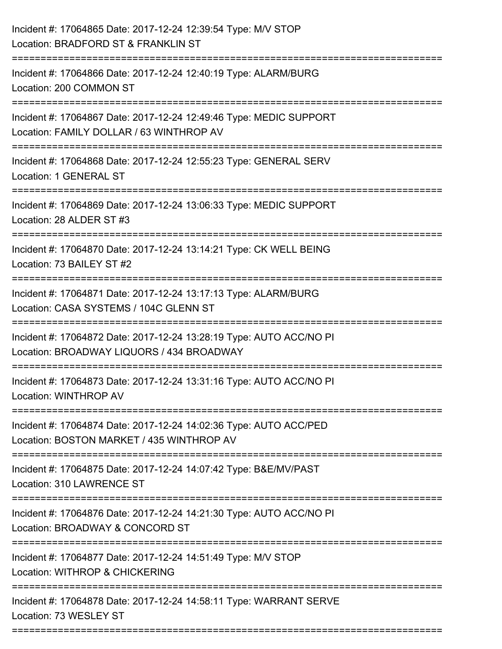| Incident #: 17064865 Date: 2017-12-24 12:39:54 Type: M/V STOP<br>Location: BRADFORD ST & FRANKLIN ST                                                                                           |
|------------------------------------------------------------------------------------------------------------------------------------------------------------------------------------------------|
| Incident #: 17064866 Date: 2017-12-24 12:40:19 Type: ALARM/BURG<br>Location: 200 COMMON ST                                                                                                     |
| Incident #: 17064867 Date: 2017-12-24 12:49:46 Type: MEDIC SUPPORT<br>Location: FAMILY DOLLAR / 63 WINTHROP AV<br>=====================================<br>----------------------------------- |
| Incident #: 17064868 Date: 2017-12-24 12:55:23 Type: GENERAL SERV<br>Location: 1 GENERAL ST                                                                                                    |
| Incident #: 17064869 Date: 2017-12-24 13:06:33 Type: MEDIC SUPPORT<br>Location: 28 ALDER ST #3                                                                                                 |
| Incident #: 17064870 Date: 2017-12-24 13:14:21 Type: CK WELL BEING<br>Location: 73 BAILEY ST #2                                                                                                |
| Incident #: 17064871 Date: 2017-12-24 13:17:13 Type: ALARM/BURG<br>Location: CASA SYSTEMS / 104C GLENN ST<br>-------------------------                                                         |
| Incident #: 17064872 Date: 2017-12-24 13:28:19 Type: AUTO ACC/NO PI<br>Location: BROADWAY LIQUORS / 434 BROADWAY                                                                               |
| Incident #: 17064873 Date: 2017-12-24 13:31:16 Type: AUTO ACC/NO PI<br><b>Location: WINTHROP AV</b>                                                                                            |
| Incident #: 17064874 Date: 2017-12-24 14:02:36 Type: AUTO ACC/PED<br>Location: BOSTON MARKET / 435 WINTHROP AV                                                                                 |
| Incident #: 17064875 Date: 2017-12-24 14:07:42 Type: B&E/MV/PAST<br>Location: 310 LAWRENCE ST                                                                                                  |
| Incident #: 17064876 Date: 2017-12-24 14:21:30 Type: AUTO ACC/NO PI<br>Location: BROADWAY & CONCORD ST                                                                                         |
| Incident #: 17064877 Date: 2017-12-24 14:51:49 Type: M/V STOP<br>Location: WITHROP & CHICKERING                                                                                                |
| Incident #: 17064878 Date: 2017-12-24 14:58:11 Type: WARRANT SERVE<br>Location: 73 WESLEY ST                                                                                                   |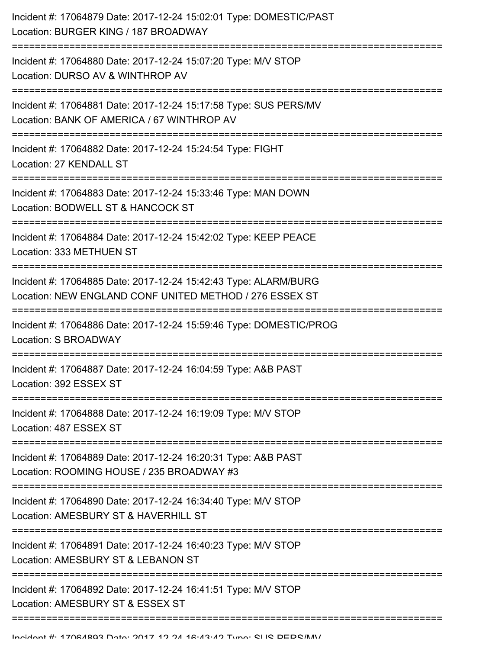| Incident #: 17064879 Date: 2017-12-24 15:02:01 Type: DOMESTIC/PAST<br>Location: BURGER KING / 187 BROADWAY                               |
|------------------------------------------------------------------------------------------------------------------------------------------|
| Incident #: 17064880 Date: 2017-12-24 15:07:20 Type: M/V STOP<br>Location: DURSO AV & WINTHROP AV                                        |
| Incident #: 17064881 Date: 2017-12-24 15:17:58 Type: SUS PERS/MV<br>Location: BANK OF AMERICA / 67 WINTHROP AV<br>---------------------- |
| Incident #: 17064882 Date: 2017-12-24 15:24:54 Type: FIGHT<br>Location: 27 KENDALL ST                                                    |
| Incident #: 17064883 Date: 2017-12-24 15:33:46 Type: MAN DOWN<br>Location: BODWELL ST & HANCOCK ST                                       |
| Incident #: 17064884 Date: 2017-12-24 15:42:02 Type: KEEP PEACE<br>Location: 333 METHUEN ST                                              |
| Incident #: 17064885 Date: 2017-12-24 15:42:43 Type: ALARM/BURG<br>Location: NEW ENGLAND CONF UNITED METHOD / 276 ESSEX ST               |
| Incident #: 17064886 Date: 2017-12-24 15:59:46 Type: DOMESTIC/PROG<br>Location: S BROADWAY                                               |
| Incident #: 17064887 Date: 2017-12-24 16:04:59 Type: A&B PAST<br>Location: 392 ESSEX ST                                                  |
| Incident #: 17064888 Date: 2017-12-24 16:19:09 Type: M/V STOP<br>Location: 487 ESSEX ST                                                  |
| Incident #: 17064889 Date: 2017-12-24 16:20:31 Type: A&B PAST<br>Location: ROOMING HOUSE / 235 BROADWAY #3                               |
| Incident #: 17064890 Date: 2017-12-24 16:34:40 Type: M/V STOP<br>Location: AMESBURY ST & HAVERHILL ST                                    |
| Incident #: 17064891 Date: 2017-12-24 16:40:23 Type: M/V STOP<br>Location: AMESBURY ST & LEBANON ST                                      |
| Incident #: 17064892 Date: 2017-12-24 16:41:51 Type: M/V STOP<br>Location: AMESBURY ST & ESSEX ST                                        |
|                                                                                                                                          |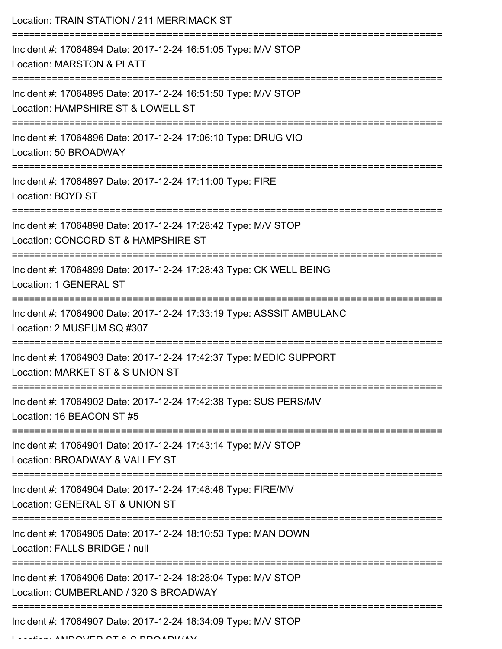| Location: TRAIN STATION / 211 MERRIMACK ST                                                             |
|--------------------------------------------------------------------------------------------------------|
| Incident #: 17064894 Date: 2017-12-24 16:51:05 Type: M/V STOP<br><b>Location: MARSTON &amp; PLATT</b>  |
| Incident #: 17064895 Date: 2017-12-24 16:51:50 Type: M/V STOP<br>Location: HAMPSHIRE ST & LOWELL ST    |
| Incident #: 17064896 Date: 2017-12-24 17:06:10 Type: DRUG VIO<br>Location: 50 BROADWAY                 |
| Incident #: 17064897 Date: 2017-12-24 17:11:00 Type: FIRE<br>Location: BOYD ST                         |
| Incident #: 17064898 Date: 2017-12-24 17:28:42 Type: M/V STOP<br>Location: CONCORD ST & HAMPSHIRE ST   |
| Incident #: 17064899 Date: 2017-12-24 17:28:43 Type: CK WELL BEING<br>Location: 1 GENERAL ST           |
| Incident #: 17064900 Date: 2017-12-24 17:33:19 Type: ASSSIT AMBULANC<br>Location: 2 MUSEUM SQ #307     |
| Incident #: 17064903 Date: 2017-12-24 17:42:37 Type: MEDIC SUPPORT<br>Location: MARKET ST & S UNION ST |
| Incident #: 17064902 Date: 2017-12-24 17:42:38 Type: SUS PERS/MV<br>Location: 16 BEACON ST #5          |
| Incident #: 17064901 Date: 2017-12-24 17:43:14 Type: M/V STOP<br>Location: BROADWAY & VALLEY ST        |
| Incident #: 17064904 Date: 2017-12-24 17:48:48 Type: FIRE/MV<br>Location: GENERAL ST & UNION ST        |
| Incident #: 17064905 Date: 2017-12-24 18:10:53 Type: MAN DOWN<br>Location: FALLS BRIDGE / null         |
| Incident #: 17064906 Date: 2017-12-24 18:28:04 Type: M/V STOP<br>Location: CUMBERLAND / 320 S BROADWAY |
| Incident #: 17064907 Date: 2017-12-24 18:34:09 Type: M/V STOP                                          |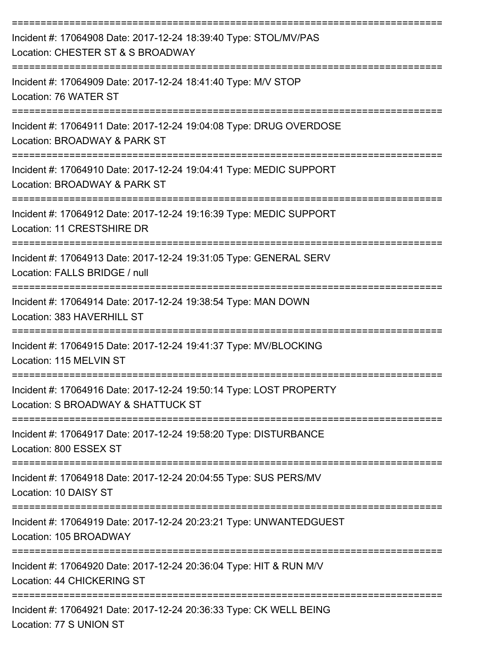| Incident #: 17064908 Date: 2017-12-24 18:39:40 Type: STOL/MV/PAS<br>Location: CHESTER ST & S BROADWAY    |
|----------------------------------------------------------------------------------------------------------|
| Incident #: 17064909 Date: 2017-12-24 18:41:40 Type: M/V STOP<br>Location: 76 WATER ST                   |
| Incident #: 17064911 Date: 2017-12-24 19:04:08 Type: DRUG OVERDOSE<br>Location: BROADWAY & PARK ST       |
| Incident #: 17064910 Date: 2017-12-24 19:04:41 Type: MEDIC SUPPORT<br>Location: BROADWAY & PARK ST       |
| Incident #: 17064912 Date: 2017-12-24 19:16:39 Type: MEDIC SUPPORT<br>Location: 11 CRESTSHIRE DR         |
| Incident #: 17064913 Date: 2017-12-24 19:31:05 Type: GENERAL SERV<br>Location: FALLS BRIDGE / null       |
| Incident #: 17064914 Date: 2017-12-24 19:38:54 Type: MAN DOWN<br>Location: 383 HAVERHILL ST              |
| Incident #: 17064915 Date: 2017-12-24 19:41:37 Type: MV/BLOCKING<br>Location: 115 MELVIN ST              |
| Incident #: 17064916 Date: 2017-12-24 19:50:14 Type: LOST PROPERTY<br>Location: S BROADWAY & SHATTUCK ST |
| Incident #: 17064917 Date: 2017-12-24 19:58:20 Type: DISTURBANCE<br>Location: 800 ESSEX ST               |
| Incident #: 17064918 Date: 2017-12-24 20:04:55 Type: SUS PERS/MV<br>Location: 10 DAISY ST                |
| Incident #: 17064919 Date: 2017-12-24 20:23:21 Type: UNWANTEDGUEST<br>Location: 105 BROADWAY             |
| Incident #: 17064920 Date: 2017-12-24 20:36:04 Type: HIT & RUN M/V<br>Location: 44 CHICKERING ST         |
| Incident #: 17064921 Date: 2017-12-24 20:36:33 Type: CK WELL BEING<br>Location: 77 S UNION ST            |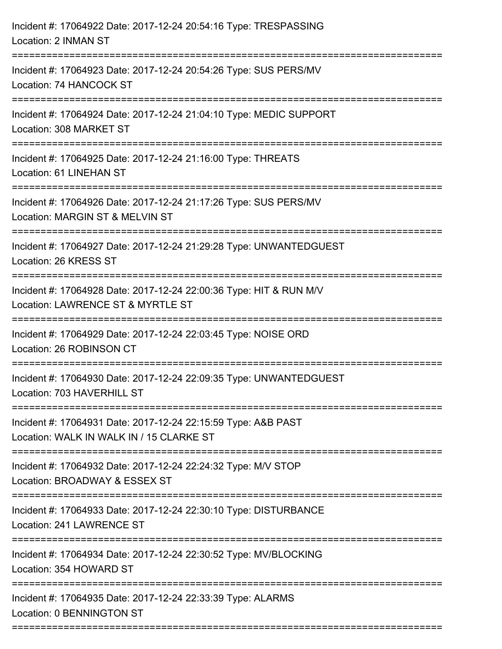| Incident #: 17064922 Date: 2017-12-24 20:54:16 Type: TRESPASSING<br>Location: 2 INMAN ST                              |
|-----------------------------------------------------------------------------------------------------------------------|
| Incident #: 17064923 Date: 2017-12-24 20:54:26 Type: SUS PERS/MV<br>Location: 74 HANCOCK ST                           |
| Incident #: 17064924 Date: 2017-12-24 21:04:10 Type: MEDIC SUPPORT<br>Location: 308 MARKET ST                         |
| Incident #: 17064925 Date: 2017-12-24 21:16:00 Type: THREATS<br>Location: 61 LINEHAN ST                               |
| Incident #: 17064926 Date: 2017-12-24 21:17:26 Type: SUS PERS/MV<br>Location: MARGIN ST & MELVIN ST                   |
| Incident #: 17064927 Date: 2017-12-24 21:29:28 Type: UNWANTEDGUEST<br>Location: 26 KRESS ST<br>---------------------- |
| Incident #: 17064928 Date: 2017-12-24 22:00:36 Type: HIT & RUN M/V<br>Location: LAWRENCE ST & MYRTLE ST               |
| Incident #: 17064929 Date: 2017-12-24 22:03:45 Type: NOISE ORD<br>Location: 26 ROBINSON CT                            |
| Incident #: 17064930 Date: 2017-12-24 22:09:35 Type: UNWANTEDGUEST<br>Location: 703 HAVERHILL ST                      |
| Incident #: 17064931 Date: 2017-12-24 22:15:59 Type: A&B PAST<br>Location: WALK IN WALK IN / 15 CLARKE ST             |
| Incident #: 17064932 Date: 2017-12-24 22:24:32 Type: M/V STOP<br>Location: BROADWAY & ESSEX ST                        |
| Incident #: 17064933 Date: 2017-12-24 22:30:10 Type: DISTURBANCE<br>Location: 241 LAWRENCE ST                         |
| Incident #: 17064934 Date: 2017-12-24 22:30:52 Type: MV/BLOCKING<br>Location: 354 HOWARD ST                           |
| Incident #: 17064935 Date: 2017-12-24 22:33:39 Type: ALARMS<br>Location: 0 BENNINGTON ST                              |
|                                                                                                                       |